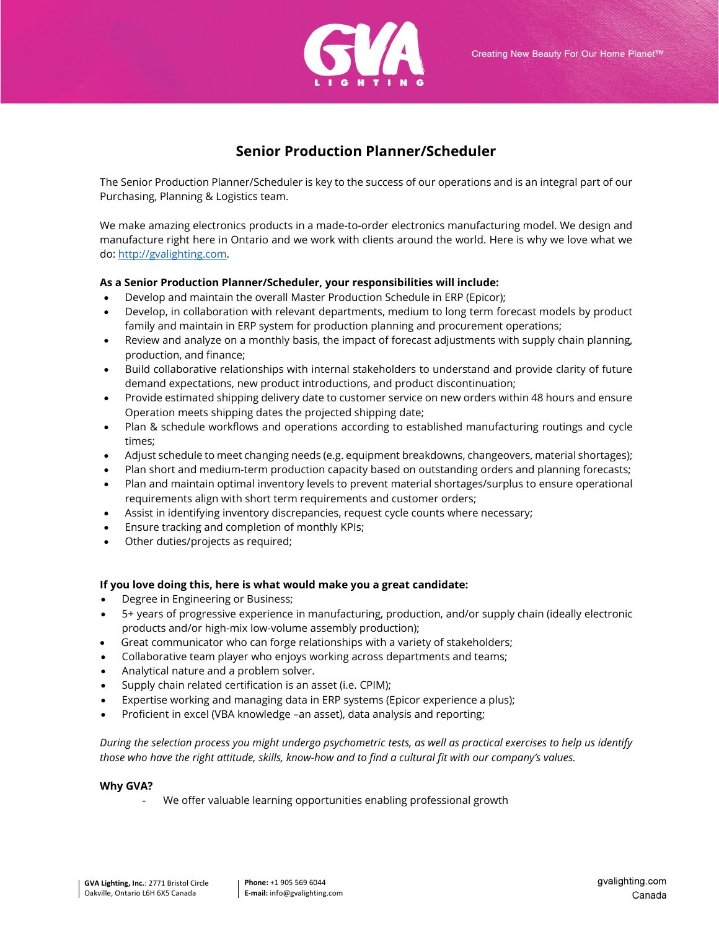

## **Senior Production Planner/Scheduler**

The Senior Production Planner/Scheduler is key to the success of our operations and is an integral part of our Purchasing, Planning & Logistics team.

We make amazing electronics products in a made-to-order electronics manufacturing model. We design and manufacture right here in Ontario and we work with clients around the world. Here is why we love what we do: http://gvalighting.com.

## **As a Senior Production Planner/Scheduler, your responsibilities will include:**

- Develop and maintain the overall Master Production Schedule in ERP (Epicor);
- Develop, in collaboration with relevant departments, medium to long term forecast models by product family and maintain in ERP system for production planning and procurement operations;
- Review and analyze on a monthly basis, the impact of forecast adjustments with supply chain planning, production, and finance;
- Build collaborative relationships with internal stakeholders to understand and provide clarity of future demand expectations, new product introductions, and product discontinuation;
- Provide estimated shipping delivery date to customer service on new orders within 48 hours and ensure Operation meets shipping dates the projected shipping date;
- Plan & schedule workflows and operations according to established manufacturing routings and cycle times;
- Adjust schedule to meet changing needs (e.g. equipment breakdowns, changeovers, material shortages);
- Plan short and medium-term production capacity based on outstanding orders and planning forecasts;
- Plan and maintain optimal inventory levels to prevent material shortages/surplus to ensure operational requirements align with short term requirements and customer orders;
- Assist in identifying inventory discrepancies, request cycle counts where necessary;
- Ensure tracking and completion of monthly KPIs;
- Other duties/projects as required;

## **If you love doing this, here is what would make you a great candidate:**

- Degree in Engineering or Business;
- 5+ years of progressive experience in manufacturing, production, and/or supply chain (ideally electronic products and/or high-mix low-volume assembly production);
- Great communicator who can forge relationships with a variety of stakeholders;
- Collaborative team player who enjoys working across departments and teams;
- x Analytical nature and a problem solver.
- Supply chain related certification is an asset (i.e. CPIM);
- x Expertise working and managing data in ERP systems (Epicor experience a plus);
- Proficient in excel (VBA knowledge –an asset), data analysis and reporting;

*During the selection process you might undergo psychometric tests, as well as practical exercises to help us identify those who have the right attitude, skills, know-how and to find a cultural fit with our company's values.* 

## **Why GVA?**

We offer valuable learning opportunities enabling professional growth